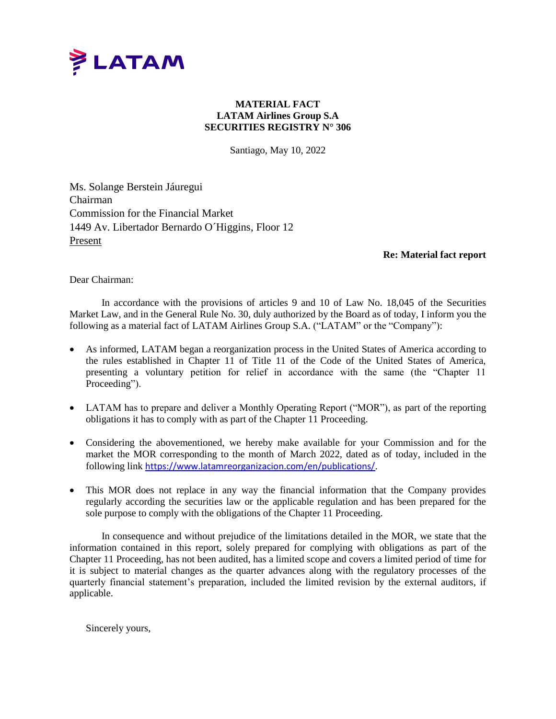

## **MATERIAL FACT LATAM Airlines Group S.A SECURITIES REGISTRY N° 306**

Santiago, May 10, 2022

Ms. Solange Berstein Jáuregui Chairman Commission for the Financial Market 1449 Av. Libertador Bernardo O´Higgins, Floor 12 Present

## **Re: Material fact report**

Dear Chairman:

In accordance with the provisions of articles 9 and 10 of Law No. 18,045 of the Securities Market Law, and in the General Rule No. 30, duly authorized by the Board as of today, I inform you the following as a material fact of LATAM Airlines Group S.A. ("LATAM" or the "Company"):

- As informed, LATAM began a reorganization process in the United States of America according to the rules established in Chapter 11 of Title 11 of the Code of the United States of America, presenting a voluntary petition for relief in accordance with the same (the "Chapter 11 Proceeding").
- LATAM has to prepare and deliver a Monthly Operating Report ("MOR"), as part of the reporting obligations it has to comply with as part of the Chapter 11 Proceeding.
- Considering the abovementioned, we hereby make available for your Commission and for the market the MOR corresponding to the month of March 2022, dated as of today, included in the following link <https://www.latamreorganizacion.com/en/publications/>.
- This MOR does not replace in any way the financial information that the Company provides regularly according the securities law or the applicable regulation and has been prepared for the sole purpose to comply with the obligations of the Chapter 11 Proceeding.

In consequence and without prejudice of the limitations detailed in the MOR, we state that the information contained in this report, solely prepared for complying with obligations as part of the Chapter 11 Proceeding, has not been audited, has a limited scope and covers a limited period of time for it is subject to material changes as the quarter advances along with the regulatory processes of the quarterly financial statement's preparation, included the limited revision by the external auditors, if applicable.

Sincerely yours,